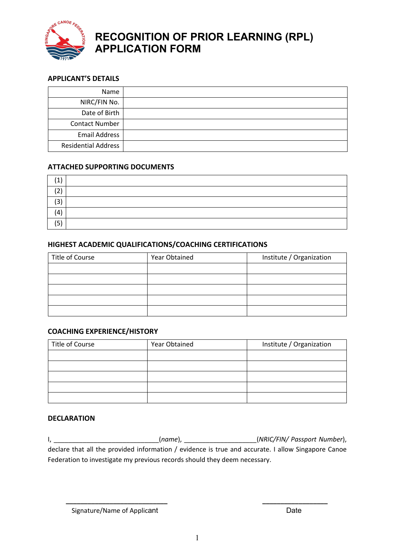

## **RECOGNITION OF PRIOR LEARNING (RPL) APPLICATION FORM**

## **APPLICANT'S DETAILS**

| Name                       |  |
|----------------------------|--|
| NIRC/FIN No.               |  |
| Date of Birth              |  |
| <b>Contact Number</b>      |  |
| <b>Email Address</b>       |  |
| <b>Residential Address</b> |  |

### **ATTACHED SUPPORTING DOCUMENTS**

| $\overline{\phantom{0}}$ |  |
|--------------------------|--|
| 3                        |  |
| $\lambda$<br>ч           |  |
| (5)                      |  |

### **HIGHEST ACADEMIC QUALIFICATIONS/COACHING CERTIFICATIONS**

| Title of Course | Year Obtained | Institute / Organization |
|-----------------|---------------|--------------------------|
|                 |               |                          |
|                 |               |                          |
|                 |               |                          |
|                 |               |                          |
|                 |               |                          |

### **COACHING EXPERIENCE/HISTORY**

| Title of Course | Year Obtained | Institute / Organization |
|-----------------|---------------|--------------------------|
|                 |               |                          |
|                 |               |                          |
|                 |               |                          |
|                 |               |                          |
|                 |               |                          |

### **DECLARATION**

| $(name)$ ,                                                                                         | (NRIC/FIN/ Passport Number), |
|----------------------------------------------------------------------------------------------------|------------------------------|
| declare that all the provided information / evidence is true and accurate. I allow Singapore Canoe |                              |
| Federation to investigate my previous records should they deem necessary.                          |                              |

 **\_\_\_\_\_\_\_\_\_\_\_\_\_\_\_\_\_\_\_\_\_\_\_\_\_\_\_\_ \_\_\_\_\_\_\_\_\_\_\_\_\_\_\_\_\_\_**

Signature/Name of Applicant development of the Date